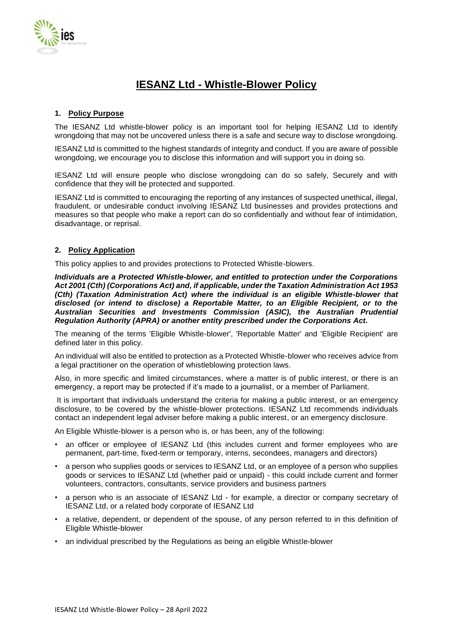

# **IESANZ Ltd - Whistle-Blower Policy**

# **1. Policy Purpose**

The IESANZ Ltd whistle-blower policy is an important tool for helping IESANZ Ltd to identify wrongdoing that may not be uncovered unless there is a safe and secure way to disclose wrongdoing.

IESANZ Ltd is committed to the highest standards of integrity and conduct. If you are aware of possible wrongdoing, we encourage you to disclose this information and will support you in doing so.

IESANZ Ltd will ensure people who disclose wrongdoing can do so safely, Securely and with confidence that they will be protected and supported.

IESANZ Ltd is committed to encouraging the reporting of any instances of suspected unethical, illegal, fraudulent, or undesirable conduct involving IESANZ Ltd businesses and provides protections and measures so that people who make a report can do so confidentially and without fear of intimidation, disadvantage, or reprisal.

## **2. Policy Application**

This policy applies to and provides protections to Protected Whistle-blowers.

*Individuals are a Protected Whistle-blower, and entitled to protection under the Corporations Act 2001 (Cth) (Corporations Act) and, if applicable, under the Taxation Administration Act 1953 (Cth) (Taxation Administration Act) where the individual is an eligible Whistle-blower that disclosed (or intend to disclose) a Reportable Matter, to an Eligible Recipient, or to the Australian Securities and Investments Commission (ASIC), the Australian Prudential Regulation Authority (APRA) or another entity prescribed under the Corporations Act.*

The meaning of the terms 'Eligible Whistle-blower', 'Reportable Matter' and 'Eligible Recipient' are defined later in this policy.

An individual will also be entitled to protection as a Protected Whistle-blower who receives advice from a legal practitioner on the operation of whistleblowing protection laws.

Also, in more specific and limited circumstances, where a matter is of public interest, or there is an emergency, a report may be protected if it's made to a journalist, or a member of Parliament.

It is important that individuals understand the criteria for making a public interest, or an emergency disclosure, to be covered by the whistle-blower protections. IESANZ Ltd recommends individuals contact an independent legal adviser before making a public interest, or an emergency disclosure.

An Eligible Whistle-blower is a person who is, or has been, any of the following:

- an officer or employee of IESANZ Ltd (this includes current and former employees who are permanent, part-time, fixed-term or temporary, interns, secondees, managers and directors)
- a person who supplies goods or services to IESANZ Ltd, or an employee of a person who supplies goods or services to IESANZ Ltd (whether paid or unpaid) - this could include current and former volunteers, contractors, consultants, service providers and business partners
- a person who is an associate of IESANZ Ltd for example, a director or company secretary of IESANZ Ltd, or a related body corporate of IESANZ Ltd
- a relative, dependent, or dependent of the spouse, of any person referred to in this definition of Eligible Whistle-blower
- an individual prescribed by the Regulations as being an eligible Whistle-blower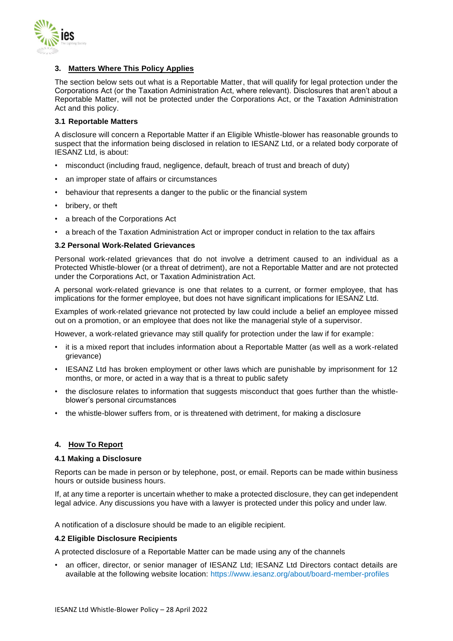

# **3. Matters Where This Policy Applies**

The section below sets out what is a Reportable Matter, that will qualify for legal protection under the Corporations Act (or the Taxation Administration Act, where relevant). Disclosures that aren't about a Reportable Matter, will not be protected under the Corporations Act, or the Taxation Administration Act and this policy.

#### **3.1 Reportable Matters**

A disclosure will concern a Reportable Matter if an Eligible Whistle-blower has reasonable grounds to suspect that the information being disclosed in relation to IESANZ Ltd, or a related body corporate of IESANZ Ltd, is about:

- misconduct (including fraud, negligence, default, breach of trust and breach of duty)
- an improper state of affairs or circumstances
- behaviour that represents a danger to the public or the financial system
- bribery, or theft
- a breach of the Corporations Act
- a breach of the Taxation Administration Act or improper conduct in relation to the tax affairs

## **3.2 Personal Work-Related Grievances**

Personal work-related grievances that do not involve a detriment caused to an individual as a Protected Whistle-blower (or a threat of detriment), are not a Reportable Matter and are not protected under the Corporations Act, or Taxation Administration Act.

A personal work-related grievance is one that relates to a current, or former employee, that has implications for the former employee, but does not have significant implications for IESANZ Ltd.

Examples of work-related grievance not protected by law could include a belief an employee missed out on a promotion, or an employee that does not like the managerial style of a supervisor.

However, a work-related grievance may still qualify for protection under the law if for example:

- it is a mixed report that includes information about a Reportable Matter (as well as a work-related grievance)
- IESANZ Ltd has broken employment or other laws which are punishable by imprisonment for 12 months, or more, or acted in a way that is a threat to public safety
- the disclosure relates to information that suggests misconduct that goes further than the whistleblower's personal circumstances
- the whistle-blower suffers from, or is threatened with detriment, for making a disclosure

#### **4. How To Report**

#### **4.1 Making a Disclosure**

Reports can be made in person or by telephone, post, or email. Reports can be made within business hours or outside business hours.

If, at any time a reporter is uncertain whether to make a protected disclosure, they can get independent legal advice. Any discussions you have with a lawyer is protected under this policy and under law.

A notification of a disclosure should be made to an eligible recipient.

#### **4.2 Eligible Disclosure Recipients**

A protected disclosure of a Reportable Matter can be made using any of the channels

• an officer, director, or senior manager of IESANZ Ltd; IESANZ Ltd Directors contact details are available at the following website location: https://www.iesanz.org/about/board-member-profiles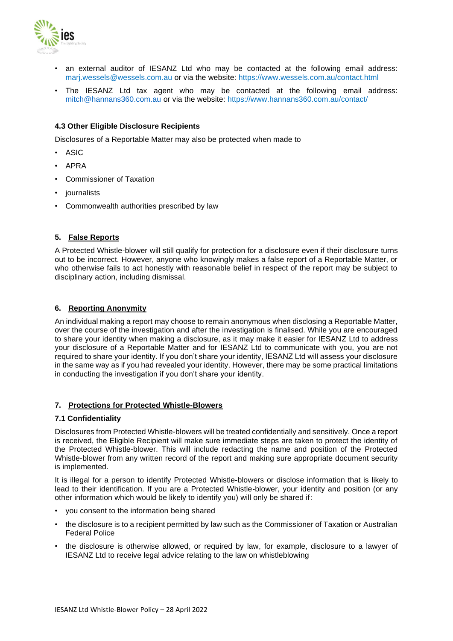

- an external auditor of IESANZ Ltd who may be contacted at the following email address: [marj.wessels@wessels.com.au](mailto:marj.wessels@wessels.com.au) or via the website: https://www.wessels.com.au/contact.html
- The IESANZ Ltd tax agent who may be contacted at the following email address: [mitch@hannans360.com.au](mailto:mitch@hannans360.com.au) or via the website: https://www.hannans360.com.au/contact/

# **4.3 Other Eligible Disclosure Recipients**

Disclosures of a Reportable Matter may also be protected when made to

- ASIC
- APRA
- Commissioner of Taxation
- journalists
- Commonwealth authorities prescribed by law

## **5. False Reports**

A Protected Whistle-blower will still qualify for protection for a disclosure even if their disclosure turns out to be incorrect. However, anyone who knowingly makes a false report of a Reportable Matter, or who otherwise fails to act honestly with reasonable belief in respect of the report may be subject to disciplinary action, including dismissal.

## **6. Reporting Anonymity**

An individual making a report may choose to remain anonymous when disclosing a Reportable Matter, over the course of the investigation and after the investigation is finalised. While you are encouraged to share your identity when making a disclosure, as it may make it easier for IESANZ Ltd to address your disclosure of a Reportable Matter and for IESANZ Ltd to communicate with you, you are not required to share your identity. If you don't share your identity, IESANZ Ltd will assess your disclosure in the same way as if you had revealed your identity. However, there may be some practical limitations in conducting the investigation if you don't share your identity.

#### **7. Protections for Protected Whistle-Blowers**

#### **7.1 Confidentiality**

Disclosures from Protected Whistle-blowers will be treated confidentially and sensitively. Once a report is received, the Eligible Recipient will make sure immediate steps are taken to protect the identity of the Protected Whistle-blower. This will include redacting the name and position of the Protected Whistle-blower from any written record of the report and making sure appropriate document security is implemented.

It is illegal for a person to identify Protected Whistle-blowers or disclose information that is likely to lead to their identification. If you are a Protected Whistle-blower, your identity and position (or any other information which would be likely to identify you) will only be shared if:

- you consent to the information being shared
- the disclosure is to a recipient permitted by law such as the Commissioner of Taxation or Australian Federal Police
- the disclosure is otherwise allowed, or required by law, for example, disclosure to a lawyer of IESANZ Ltd to receive legal advice relating to the law on whistleblowing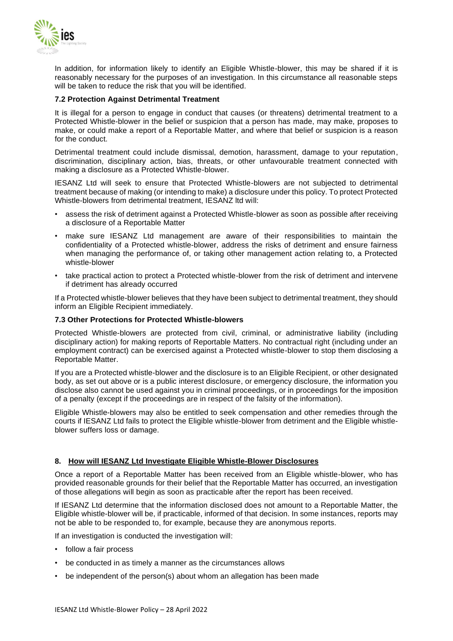

In addition, for information likely to identify an Eligible Whistle-blower, this may be shared if it is reasonably necessary for the purposes of an investigation. In this circumstance all reasonable steps will be taken to reduce the risk that you will be identified.

# **7.2 Protection Against Detrimental Treatment**

It is illegal for a person to engage in conduct that causes (or threatens) detrimental treatment to a Protected Whistle-blower in the belief or suspicion that a person has made, may make, proposes to make, or could make a report of a Reportable Matter, and where that belief or suspicion is a reason for the conduct.

Detrimental treatment could include dismissal, demotion, harassment, damage to your reputation, discrimination, disciplinary action, bias, threats, or other unfavourable treatment connected with making a disclosure as a Protected Whistle-blower.

IESANZ Ltd will seek to ensure that Protected Whistle-blowers are not subjected to detrimental treatment because of making (or intending to make) a disclosure under this policy. To protect Protected Whistle-blowers from detrimental treatment, IESANZ ltd will:

- assess the risk of detriment against a Protected Whistle-blower as soon as possible after receiving a disclosure of a Reportable Matter
- make sure IESANZ Ltd management are aware of their responsibilities to maintain the confidentiality of a Protected whistle-blower, address the risks of detriment and ensure fairness when managing the performance of, or taking other management action relating to, a Protected whistle-blower
- take practical action to protect a Protected whistle-blower from the risk of detriment and intervene if detriment has already occurred

If a Protected whistle-blower believes that they have been subject to detrimental treatment, they should inform an Eligible Recipient immediately.

## **7.3 Other Protections for Protected Whistle-blowers**

Protected Whistle-blowers are protected from civil, criminal, or administrative liability (including disciplinary action) for making reports of Reportable Matters. No contractual right (including under an employment contract) can be exercised against a Protected whistle-blower to stop them disclosing a Reportable Matter.

If you are a Protected whistle-blower and the disclosure is to an Eligible Recipient, or other designated body, as set out above or is a public interest disclosure, or emergency disclosure, the information you disclose also cannot be used against you in criminal proceedings, or in proceedings for the imposition of a penalty (except if the proceedings are in respect of the falsity of the information).

Eligible Whistle-blowers may also be entitled to seek compensation and other remedies through the courts if IESANZ Ltd fails to protect the Eligible whistle-blower from detriment and the Eligible whistleblower suffers loss or damage.

#### **8. How will IESANZ Ltd Investigate Eligible Whistle-Blower Disclosures**

Once a report of a Reportable Matter has been received from an Eligible whistle-blower, who has provided reasonable grounds for their belief that the Reportable Matter has occurred, an investigation of those allegations will begin as soon as practicable after the report has been received.

If IESANZ Ltd determine that the information disclosed does not amount to a Reportable Matter, the Eligible whistle-blower will be, if practicable, informed of that decision. In some instances, reports may not be able to be responded to, for example, because they are anonymous reports.

If an investigation is conducted the investigation will:

- follow a fair process
- be conducted in as timely a manner as the circumstances allows
- be independent of the person(s) about whom an allegation has been made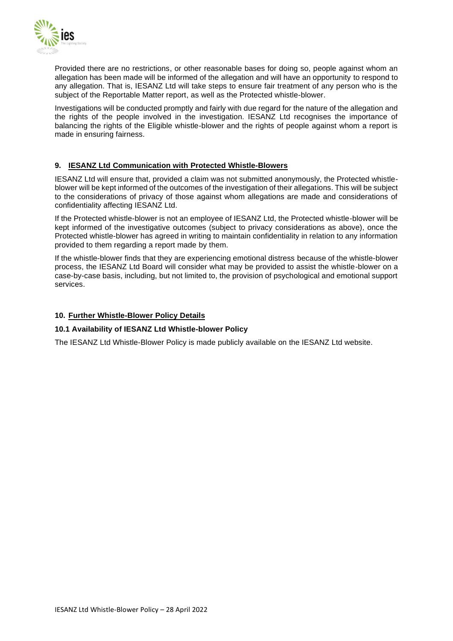

Provided there are no restrictions, or other reasonable bases for doing so, people against whom an allegation has been made will be informed of the allegation and will have an opportunity to respond to any allegation. That is, IESANZ Ltd will take steps to ensure fair treatment of any person who is the subject of the Reportable Matter report, as well as the Protected whistle-blower.

Investigations will be conducted promptly and fairly with due regard for the nature of the allegation and the rights of the people involved in the investigation. IESANZ Ltd recognises the importance of balancing the rights of the Eligible whistle-blower and the rights of people against whom a report is made in ensuring fairness.

# **9. IESANZ Ltd Communication with Protected Whistle-Blowers**

IESANZ Ltd will ensure that, provided a claim was not submitted anonymously, the Protected whistleblower will be kept informed of the outcomes of the investigation of their allegations. This will be subject to the considerations of privacy of those against whom allegations are made and considerations of confidentiality affecting IESANZ Ltd.

If the Protected whistle-blower is not an employee of IESANZ Ltd, the Protected whistle-blower will be kept informed of the investigative outcomes (subject to privacy considerations as above), once the Protected whistle-blower has agreed in writing to maintain confidentiality in relation to any information provided to them regarding a report made by them.

If the whistle-blower finds that they are experiencing emotional distress because of the whistle-blower process, the IESANZ Ltd Board will consider what may be provided to assist the whistle-blower on a case-by-case basis, including, but not limited to, the provision of psychological and emotional support services.

# **10. Further Whistle-Blower Policy Details**

# **10.1 Availability of IESANZ Ltd Whistle-blower Policy**

The IESANZ Ltd Whistle-Blower Policy is made publicly available on the IESANZ Ltd website.